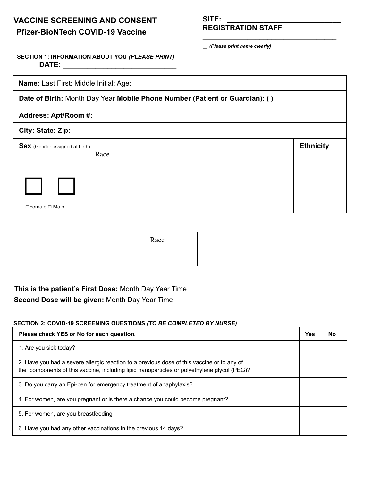# **VACCINE SCREENING AND CONSENT Pfizer-BioNTech COVID-19 Vaccine**

**REGISTRATION STAFF**

**\_** *(Please print name clearly)*

**\_\_\_\_\_\_\_\_\_\_\_\_\_\_\_\_\_\_\_\_\_\_\_\_\_\_\_\_\_\_\_\_\_**

## **SECTION 1: INFORMATION ABOUT YOU** *(PLEASE PRINT)* **DATE: \_\_\_\_\_\_\_\_\_\_\_\_\_\_\_\_\_\_\_\_\_\_\_\_\_\_\_\_**

**Name:** Last First: Middle Initial: Age:

**Date of Birth:** Month Day Year **Mobile Phone Number (Patient or Guardian): ( )**

### **Address: Apt/Room #:**

## **City: State: Zip:**

| <b>Sex</b> (Gender assigned at birth)<br>Race | <b>Ethnicity</b> |
|-----------------------------------------------|------------------|
|                                               |                  |
| $\Box$ Female $\Box$ Male                     |                  |

| Race |  |
|------|--|
|      |  |
|      |  |

# **This is the patient's First Dose:** Month Day Year Time **Second Dose will be given:** Month Day Year Time

#### **SECTION 2: COVID-19 SCREENING QUESTIONS** *(TO BE COMPLETED BY NURSE)*

| Please check YES or No for each question.                                                                                                                                                 |  |  |  |
|-------------------------------------------------------------------------------------------------------------------------------------------------------------------------------------------|--|--|--|
| 1. Are you sick today?                                                                                                                                                                    |  |  |  |
| 2. Have you had a severe allergic reaction to a previous dose of this vaccine or to any of<br>the components of this vaccine, including lipid nanoparticles or polyethylene glycol (PEG)? |  |  |  |
| 3. Do you carry an Epi-pen for emergency treatment of anaphylaxis?                                                                                                                        |  |  |  |
| 4. For women, are you pregnant or is there a chance you could become pregnant?                                                                                                            |  |  |  |
| 5. For women, are you breastfeeding                                                                                                                                                       |  |  |  |
| 6. Have you had any other vaccinations in the previous 14 days?                                                                                                                           |  |  |  |

**SITE: \_\_\_\_\_\_\_\_\_\_\_\_\_\_\_\_\_\_\_\_\_\_\_\_\_\_\_\_**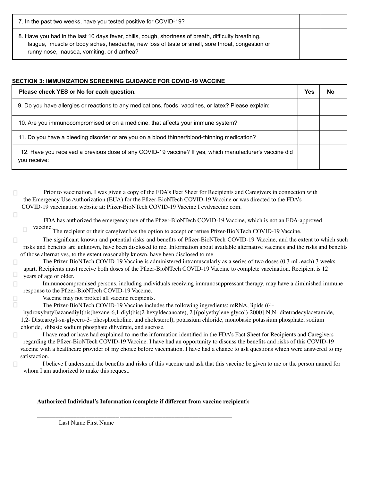| 7. In the past two weeks, have you tested positive for COVID-19?                                                                                                                                                                                      |  |
|-------------------------------------------------------------------------------------------------------------------------------------------------------------------------------------------------------------------------------------------------------|--|
| 8. Have you had in the last 10 days fever, chills, cough, shortness of breath, difficulty breathing,<br>fatigue, muscle or body aches, headache, new loss of taste or smell, sore throat, congestion or<br>runny nose, nausea, vomiting, or diarrhea? |  |

#### **SECTION 3: IMMUNIZATION SCREENING GUIDANCE FOR COVID-19 VACCINE**

| Please check YES or No for each question.                                                                               |  |  |  |
|-------------------------------------------------------------------------------------------------------------------------|--|--|--|
| 9. Do you have allergies or reactions to any medications, foods, vaccines, or latex? Please explain:                    |  |  |  |
| 10. Are you immunocompromised or on a medicine, that affects your immune system?                                        |  |  |  |
| 11. Do you have a bleeding disorder or are you on a blood thinner/blood-thinning medication?                            |  |  |  |
| 12. Have you received a previous dose of any COVID-19 vaccine? If yes, which manufacturer's vaccine did<br>you receive: |  |  |  |

Prior to vaccination, I was given a copy of the FDA's Fact Sheet for Recipients and Caregivers in connection with the Emergency Use Authorization (EUA) for the Pfizer-BioNTech COVID-19 Vaccine or was directed to the FDA's COVID-19 vaccination website at: Pfizer-BioNTech COVID-19 Vaccine I cvdvaccine.com.

8

FDA has authorized the emergency use of the Pfizer-BioNTech COVID-19 Vaccine, which is not an FDA-approved

vaccine. The recipient or their caregiver has the option to accept or refuse Pfizer-BioNTech COVID-19 Vaccine.

 $\Box$ The significant known and potential risks and benefits of Pfizer-BioNTech COVID-19 Vaccine, and the extent to which such risks and benefits are unknown, have been disclosed to me. Information about available alternative vaccines and the risks and benefits of those alternatives, to the extent reasonably known, have been disclosed to me.

The Pfizer-BioNTech COVID-19 Vaccine is administered intramuscularly as a series of two doses (0.3 mL each) 3 weeks  $\Box$ apart. Recipients must receive both doses of the Pfizer-BioNTech COVID-19 Vaccine to complete vaccination. Recipient is 12  $\Box$ years of age or older.

 $\Box$ Immunocompromised persons, including individuals receiving immunosuppressant therapy, may have a diminished immune response to the Pfizer-BioNTech COVID-19 Vaccine.

Vaccine may not protect all vaccine recipients.

The Pfizer-BioNTech COVID-19 Vaccine includes the following ingredients: mRNA, lipids ((4-

hydroxybutyl)azanediyI)bis(hexane-6,1-diyl)bis(2-hexyIdecanoate), 2 [(polyethylene glycol)-2000]-N,N- ditetradecylacetamide, 1,2- DistearoyI-sn-glycero-3- phosphocholine, and cholesterol), potassium chloride, monobasic potassium phosphate, sodium chloride, dibasic sodium phosphate dihydrate, and sucrose.

I have read or have had explained to me the information identified in the FDA's Fact Sheet for Recipients and Caregivers  $\Box$ regarding the Pfizer-BioNTech COVID-19 Vaccine. I have had an opportunity to discuss the benefits and risks of this COVID-19 vaccine with a healthcare provider of my choice before vaccination. I have had a chance to ask questions which were answered to my satisfaction.

I believe I understand the benefits and risks of this vaccine and ask that this vaccine be given to me or the person named for whom I am authorized to make this request.

#### **Authorized Individual's Information (complete if different from vaccine recipient):**

\_\_\_\_\_\_\_\_\_\_\_\_\_\_\_\_\_\_\_\_\_\_\_\_\_\_\_ \_\_\_\_\_\_\_\_\_\_\_\_\_\_\_\_\_\_\_\_\_\_\_\_\_\_\_\_\_\_\_\_\_\_\_\_\_

Last Name First Name